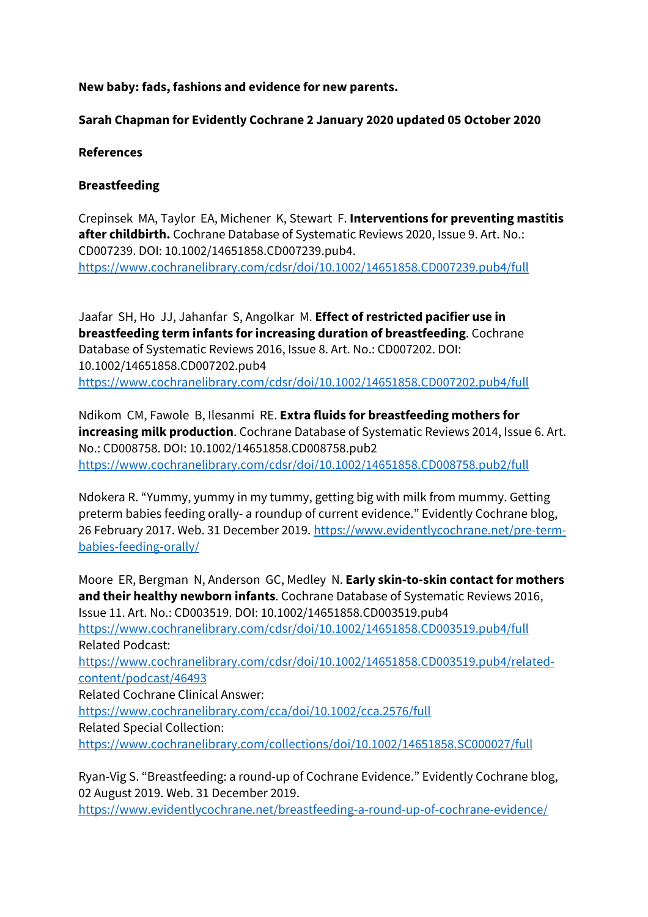# **New baby: fads, fashions and evidence for new parents.**

# **Sarah Chapman for Evidently Cochrane 2 January 2020 updated 05 October 2020**

### **References**

# **Breastfeeding**

Crepinsek MA, Taylor EA, Michener K, Stewart F. **Interventions for preventing mastitis after childbirth.** Cochrane Database of Systematic Reviews 2020, Issue 9. Art. No.: CD007239. DOI: 10.1002/14651858.CD007239.pub4. https://www.cochranelibrary.com/cdsr/doi/10.1002/14651858.CD007239.pub4/full

Jaafar SH, Ho JJ, Jahanfar S, Angolkar M. **Effect of restricted pacifier use in breastfeeding term infants for increasing duration of breastfeeding**. Cochrane Database of Systematic Reviews 2016, Issue 8. Art. No.: CD007202. DOI: 10.1002/14651858.CD007202.pub4 https://www.cochranelibrary.com/cdsr/doi/10.1002/14651858.CD007202.pub4/full

Ndikom CM, Fawole B, Ilesanmi RE. **Extra fluids for breastfeeding mothers for increasing milk production**. Cochrane Database of Systematic Reviews 2014, Issue 6. Art. No.: CD008758. DOI: 10.1002/14651858.CD008758.pub2 https://www.cochranelibrary.com/cdsr/doi/10.1002/14651858.CD008758.pub2/full

Ndokera R. "Yummy, yummy in my tummy, getting big with milk from mummy. Getting preterm babies feeding orally- a roundup of current evidence." Evidently Cochrane blog, 26 February 2017. Web. 31 December 2019. https://www.evidentlycochrane.net/pre-termbabies-feeding-orally/

Moore ER, Bergman N, Anderson GC, Medley N. **Early skin**-**to**-**skin contact for mothers and their healthy newborn infants**. Cochrane Database of Systematic Reviews 2016, Issue 11. Art. No.: CD003519. DOI: 10.1002/14651858.CD003519.pub4 https://www.cochranelibrary.com/cdsr/doi/10.1002/14651858.CD003519.pub4/full Related Podcast: https://www.cochranelibrary.com/cdsr/doi/10.1002/14651858.CD003519.pub4/relatedcontent/podcast/46493 Related Cochrane Clinical Answer: https://www.cochranelibrary.com/cca/doi/10.1002/cca.2576/full Related Special Collection: https://www.cochranelibrary.com/collections/doi/10.1002/14651858.SC000027/full

Ryan-Vig S. "Breastfeeding: a round-up of Cochrane Evidence." Evidently Cochrane blog, 02 August 2019. Web. 31 December 2019.

https://www.evidentlycochrane.net/breastfeeding-a-round-up-of-cochrane-evidence/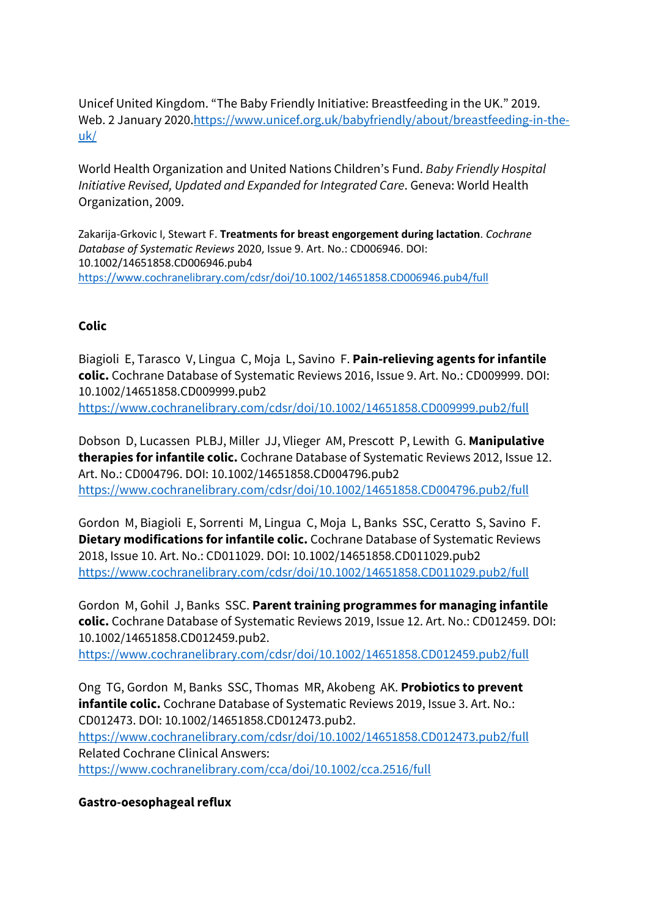Unicef United Kingdom. "The Baby Friendly Initiative: Breastfeeding in the UK." 2019. Web. 2 January 2020.https://www.unicef.org.uk/babyfriendly/about/breastfeeding-in-theuk/

World Health Organization and United Nations Children's Fund. *Baby Friendly Hospital Initiative Revised, Updated and Expanded for Integrated Care*. Geneva: World Health Organization, 2009.

Zakarija-Grkovic I, Stewart F. **Treatments for breast engorgement during lactation**. *Cochrane Database of Systematic Reviews* 2020, Issue 9. Art. No.: CD006946. DOI: 10.1002/14651858.CD006946.pub4 https://www.cochranelibrary.com/cdsr/doi/10.1002/14651858.CD006946.pub4/full

# **Colic**

Biagioli E, Tarasco V, Lingua C, Moja L, Savino F. **Pain**-**relieving agents for infantile colic.** Cochrane Database of Systematic Reviews 2016, Issue 9. Art. No.: CD009999. DOI: 10.1002/14651858.CD009999.pub2 https://www.cochranelibrary.com/cdsr/doi/10.1002/14651858.CD009999.pub2/full

Dobson D, Lucassen PLBJ, Miller JJ, Vlieger AM, Prescott P, Lewith G. **Manipulative therapies for infantile colic.** Cochrane Database of Systematic Reviews 2012, Issue 12. Art. No.: CD004796. DOI: 10.1002/14651858.CD004796.pub2 https://www.cochranelibrary.com/cdsr/doi/10.1002/14651858.CD004796.pub2/full

Gordon M, Biagioli E, Sorrenti M, Lingua C, Moja L, Banks SSC, Ceratto S, Savino F. **Dietary modifications for infantile colic.** Cochrane Database of Systematic Reviews 2018, Issue 10. Art. No.: CD011029. DOI: 10.1002/14651858.CD011029.pub2 https://www.cochranelibrary.com/cdsr/doi/10.1002/14651858.CD011029.pub2/full

Gordon M, Gohil J, Banks SSC. **Parent training programmes for managing infantile colic.** Cochrane Database of Systematic Reviews 2019, Issue 12. Art. No.: CD012459. DOI: 10.1002/14651858.CD012459.pub2.

https://www.cochranelibrary.com/cdsr/doi/10.1002/14651858.CD012459.pub2/full

Ong TG, Gordon M, Banks SSC, Thomas MR, Akobeng AK. **Probiotics to prevent infantile colic.** Cochrane Database of Systematic Reviews 2019, Issue 3. Art. No.: CD012473. DOI: 10.1002/14651858.CD012473.pub2.

https://www.cochranelibrary.com/cdsr/doi/10.1002/14651858.CD012473.pub2/full Related Cochrane Clinical Answers:

https://www.cochranelibrary.com/cca/doi/10.1002/cca.2516/full

**Gastro-oesophageal reflux**